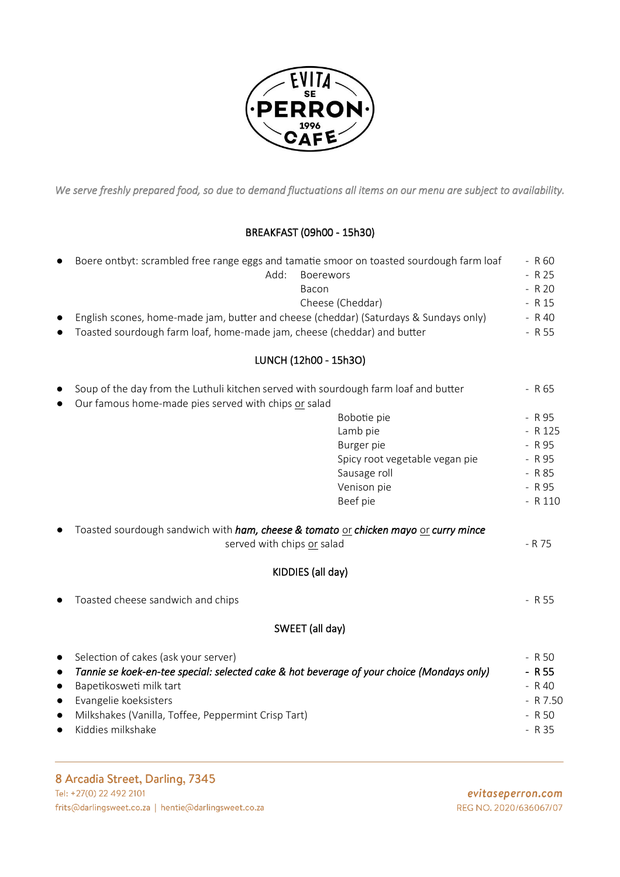

We serve freshly prepared food, so due to demand fluctuations all items on our menu are subject to availability.

# BREAKFAST (09h00 - 15h30)

| $\bullet$             | Boere ontbyt: scrambled free range eggs and tamatie smoor on toasted sourdough farm loaf |         |  |  |
|-----------------------|------------------------------------------------------------------------------------------|---------|--|--|
|                       | Add:<br><b>Boerewors</b>                                                                 | - R 25  |  |  |
|                       | Bacon                                                                                    | $- R20$ |  |  |
|                       | Cheese (Cheddar)                                                                         | - R 15  |  |  |
| $\bullet$             | English scones, home-made jam, butter and cheese (cheddar) (Saturdays & Sundays only)    | $-R$ 40 |  |  |
| $\bullet$             | Toasted sourdough farm loaf, home-made jam, cheese (cheddar) and butter                  |         |  |  |
|                       |                                                                                          |         |  |  |
| LUNCH (12h00 - 15h3O) |                                                                                          |         |  |  |
| $\bullet$             | Soup of the day from the Luthuli kitchen served with sourdough farm loaf and butter      | - R 65  |  |  |

● Our famous home-made pies served with chips or salad

|                                                                                                             | Bobotie pie                    | - R 95     |
|-------------------------------------------------------------------------------------------------------------|--------------------------------|------------|
|                                                                                                             | Lamb pie                       | $- R 125$  |
|                                                                                                             | Burger pie                     | $-R95$     |
|                                                                                                             | Spicy root vegetable vegan pie | $- R95$    |
|                                                                                                             | Sausage roll                   | $- R85$    |
|                                                                                                             | Venison pie                    | $- R95$    |
|                                                                                                             | Beef pie                       | $- R 110$  |
| Toasted sourdough sandwich with <i>ham, cheese &amp; tomato</i> or chicken mayo or curry mince<br>$\bullet$ |                                |            |
| served with chips or salad                                                                                  |                                | - R 75     |
| KIDDIES (all day)                                                                                           |                                |            |
| Toasted cheese sandwich and chips<br>$\bullet$                                                              |                                | - R 55     |
| SWEET (all day)                                                                                             |                                |            |
| Selection of cakes (ask your server)<br>$\bullet$                                                           |                                | $- R 50$   |
| Tannie se koek-en-tee special: selected cake & hot beverage of your choice (Mondays only)<br>$\bullet$      |                                | $-$ R 55   |
| Bapetikosweti milk tart<br>$\bullet$                                                                        |                                | $- R40$    |
| Evangelie koeksisters<br>$\bullet$                                                                          |                                | $- R 7.50$ |
| Milkshakes (Vanilla, Toffee, Peppermint Crisp Tart)<br>$\bullet$                                            |                                | $- R 50$   |
| Kiddies milkshake<br>$\bullet$                                                                              |                                | $- R35$    |
|                                                                                                             |                                |            |